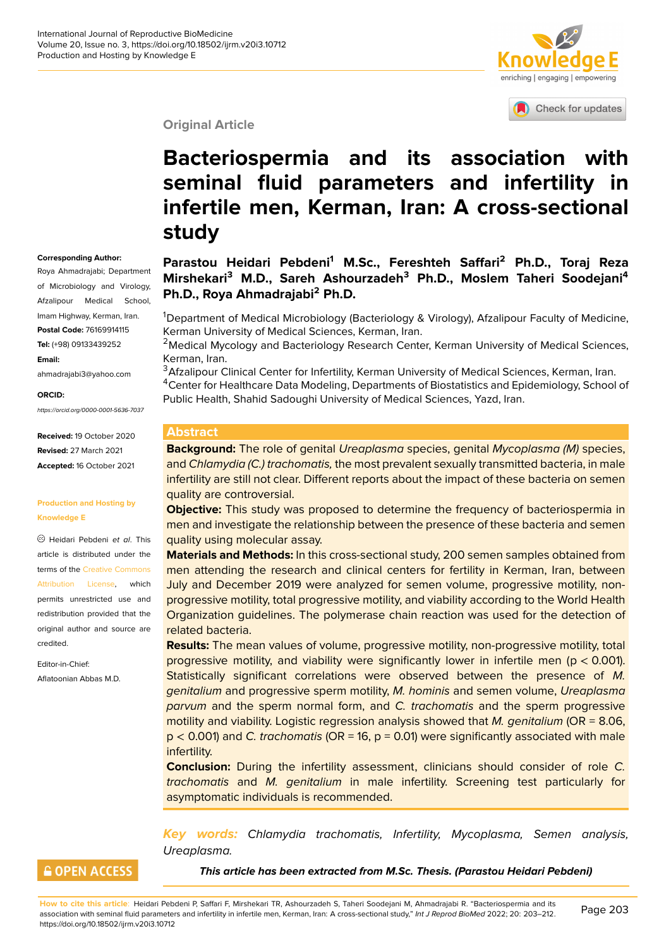**Corresponding Author:** Roya Ahmadrajabi; Department of Microbiology and Virology, Afzalipour Medical School, Imam Highway, Kerman, Iran. **Postal Code:** 76169914115 **Tel:** (+98) 09133439252

ahmadrajabi3@yahoo.com

*https://orcid.org/0000-0001-5636-7037*

**Received:** 19 October 2020 **Revised:** 27 March 2021 **Accepted:** 16 October 2021

**Production and Hosting by**

Heidari Pebdeni *et al*. This article is distributed under the terms of the Creative Commons Attribution License, which permits unrestricted use and redistribution provided that the original auth[or and source are](https://creativecommons.org/licenses/by/4.0/)

**Knowledge E**

[credited.](https://creativecommons.org/licenses/by/4.0/)

Editor-in-Chief: Aflatoonian Abbas M.D.

**Email:**

**ORCID:**



Check for updates

#### **Original Article**

# **Bacteriospermia and its assoc[iation with](http://crossmark.crossref.org/dialog/?doi=10.18502/ijrm.v20i3.10712&domain=pdf&date_stamp=2018-01-27) seminal fluid parameters and infertility in infertile men, Kerman, Iran: A cross-sectional study**

#### **Parastou Heidari Pebdeni<sup>1</sup> M.Sc., Fereshteh Saffari<sup>2</sup> Ph.D., Toraj Reza Mirshekari<sup>3</sup> M.D., Sareh Ashourzadeh<sup>3</sup> Ph.D., Moslem Taheri Soodejani<sup>4</sup> Ph.D., Roya Ahmadrajabi<sup>2</sup> Ph.D.**

<sup>1</sup>Department of Medical Microbiology (Bacteriology & Virology), Afzalipour Faculty of Medicine, Kerman University of Medical Sciences, Kerman, Iran.

<sup>2</sup>Medical Mycology and Bacteriology Research Center, Kerman University of Medical Sciences, Kerman, Iran.

<sup>3</sup> Afzalipour Clinical Center for Infertility, Kerman University of Medical Sciences, Kerman, Iran. <sup>4</sup>Center for Healthcare Data Modeling, Departments of Biostatistics and Epidemiology, School of Public Health, Shahid Sadoughi University of Medical Sciences, Yazd, Iran.

#### **Abstract**

**Background:** The role of genital *Ureaplasma* species, genital *Mycoplasma (M)* species, and *Chlamydia (C.) trachomatis,* the most prevalent sexually transmitted bacteria, in male infertility are still not clear. Different reports about the impact of these bacteria on semen quality are controversial.

**Objective:** This study was proposed to determine the frequency of bacteriospermia in men and investigate the relationship between the presence of these bacteria and semen quality using molecular assay.

**Materials and Methods:** In this cross-sectional study, 200 semen samples obtained from men attending the research and clinical centers for fertility in Kerman, Iran, between July and December 2019 were analyzed for semen volume, progressive motility, nonprogressive motility, total progressive motility, and viability according to the World Health Organization guidelines. The polymerase chain reaction was used for the detection of related bacteria.

**Results:** The mean values of volume, progressive motility, non-progressive motility, total progressive motility, and viability were significantly lower in infertile men (p < 0.001). Statistically significant correlations were observed between the presence of *M. genitalium* and progressive sperm motility, *M. hominis* and semen volume, *Ureaplasma parvum* and the sperm normal form, and *C. trachomatis* and the sperm progressive motility and viability. Logistic regression analysis showed that *M. genitalium* (OR = 8.06, p < 0.001) and *C. trachomatis* (OR = 16, p = 0.01) were significantly associated with male infertility.

**Conclusion:** During the infertility assessment, clinicians should consider of role *C. trachomatis* and *M. genitalium* in male infertility. Screening test particularly for asymptomatic individuals is recommended.

*Key words: Chlamydia trachomatis, Infertility, Mycoplasma, Semen analysis, Ureaplasma.*

#### **GOPEN ACCESS**

*This article has been extracted from M.Sc. Thesis. (Parastou Heidari Pebdeni)*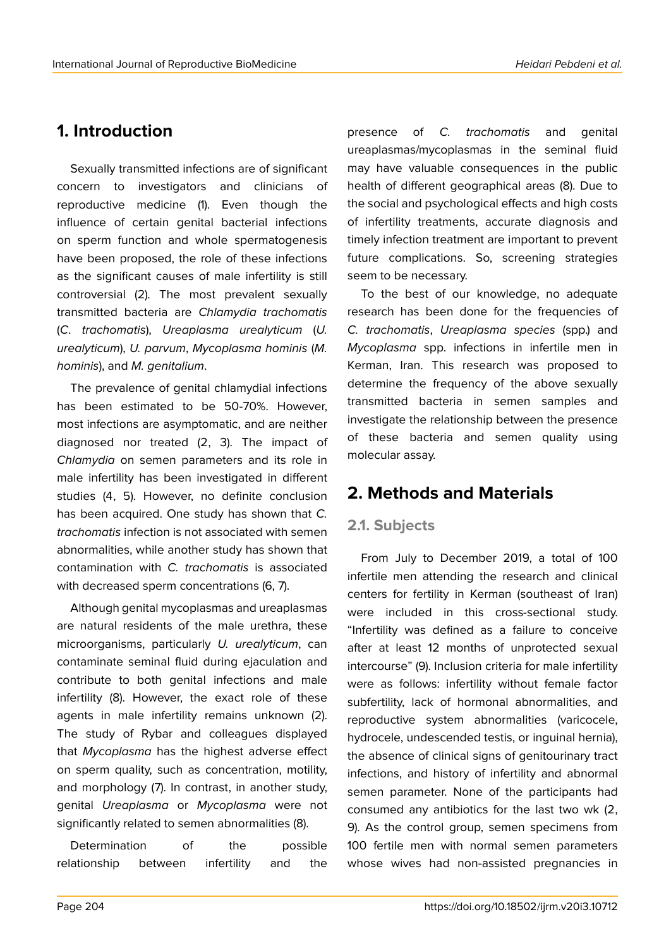### **1. Introduction**

Sexually transmitted infections are of significant concern to investigators and clinicians of reproductive medicine (1). Even though the influence of certain genital bacterial infections on sperm function and whole spermatogenesis have been proposed, the role of these infections as the significant causes of male infertility is still controversial (2). The most prevalent sexually transmitted bacteria are *Chlamydia trachomatis* (*C*. *trachomatis*), *Ureaplasma urealyticum* (*U. urealyticum*), *U. parvum*, *Mycoplasma hominis* (*M. hominis*), and *M. genitalium*.

The prevalence of genital chlamydial infections has been estimated to be 50-70%. However, most infections are asymptomatic, and are neither diagnosed nor treated (2, 3). The impact of *Chlamydia* on semen parameters and its role in male infertility has been investigated in different studies (4, 5). However, no definite conclusion has been acquired. One study has shown that *C. trachomatis* infection is not associated with semen abnormalities, while another study has shown that contamination with *C. trachomatis* is associated with decreased sperm concentrations (6, 7).

Although genital mycoplasmas and ureaplasmas are natural residents of the male urethra, these microorganisms, particularly *U. urealyticum*, can contaminate seminal fluid during ejaculation and contribute to both genital infections and male infertility (8). However, the exact role of these agents in male infertility remains unknown (2). The study of Rybar and colleagues displayed that *Mycoplasma* has the highest adverse effect on sperm quality, such as concentration, motility, and morphology (7). In contrast, in another study, genital *Ureaplasma* or *Mycoplasma* were not significantly related to semen abnormalities (8).

Determination of the possible relationship between infertility and the

presence of *C. trachomatis* and genital ureaplasmas/mycoplasmas in the seminal fluid may have valuable consequences in the public health of different geographical areas (8). Due to the social and psychological effects and high costs of infertility treatments, accurate diagnosis and timely infection treatment are important to prevent future complications. So, screening strategies seem to be necessary.

To the best of our knowledge, no adequate research has been done for the frequencies of *C. trachomatis*, *Ureaplasma species* (spp.) and *Mycoplasma* spp. infections in infertile men in Kerman, Iran. This research was proposed to determine the frequency of the above sexually transmitted bacteria in semen samples and investigate the relationship between the presence of these bacteria and semen quality using molecular assay.

### **2. Methods and Materials**

#### **2.1. Subjects**

From July to December 2019, a total of 100 infertile men attending the research and clinical centers for fertility in Kerman (southeast of Iran) were included in this cross-sectional study. "Infertility was defined as a failure to conceive after at least 12 months of unprotected sexual intercourse" (9). Inclusion criteria for male infertility were as follows: infertility without female factor subfertility, lack of hormonal abnormalities, and reproductive system abnormalities (varicocele, hydrocele, undescended testis, or inguinal hernia), the absence of clinical signs of genitourinary tract infections, and history of infertility and abnormal semen parameter. None of the participants had consumed any antibiotics for the last two wk (2, 9). As the control group, semen specimens from 100 fertile men with normal semen parameters whose wives had non-assisted pregnancies in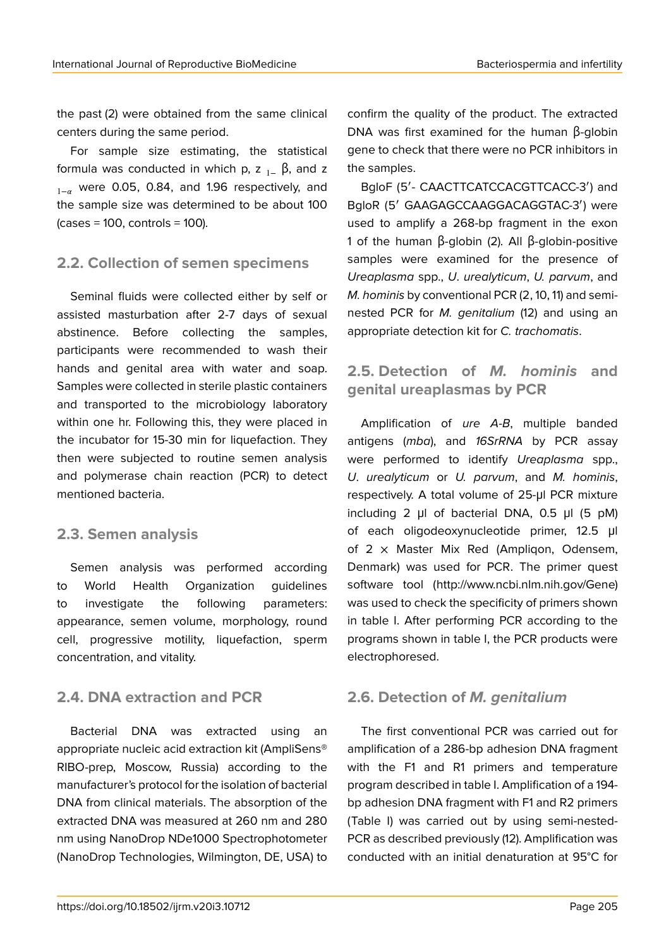the past (2) were obtained from the same clinical centers during the same period.

For sample size estimating, the statistical formula was conducted in which p, z  $_{1-}$   $\beta$ , and z  $_{1-\alpha}$  were 0.05, 0.84, and 1.96 respectively, and the sample size was determined to be about 100  $\frac{1}{2}$  (cases = 100, controls = 100).

#### **2.2. Collection of semen specimens**

Seminal fluids were collected either by self or assisted masturbation after 2-7 days of sexual abstinence. Before collecting the samples, participants were recommended to wash their hands and genital area with water and soap. Samples were collected in sterile plastic containers and transported to the microbiology laboratory within one hr. Following this, they were placed in the incubator for 15-30 min for liquefaction. They then were subjected to routine semen analysis and polymerase chain reaction (PCR) to detect mentioned bacteria.

#### **2.3. Semen analysis**

Semen analysis was performed according to World Health Organization guidelines to investigate the following parameters: appearance, semen volume, morphology, round cell, progressive motility, liquefaction, sperm concentration, and vitality.

### **2.4. DNA extraction and PCR**

Bacterial DNA was extracted using an appropriate nucleic acid extraction kit (AmpliSens® RIBO-prep, Moscow, Russia) according to the manufacturer's protocol for the isolation of bacterial DNA from clinical materials. The absorption of the extracted DNA was measured at 260 nm and 280 nm using NanoDrop NDe1000 Spectrophotometer (NanoDrop Technologies, Wilmington, DE, USA) to

confirm the quality of the product. The extracted DNA was first examined for the human β-globin gene to check that there were no PCR inhibitors in the samples.

BgloF (5′- CAACTTCATCCACGTTCACC-3′) and BgloR (5′ GAAGAGCCAAGGACAGGTAC-3′) were used to amplify a 268-bp fragment in the exon 1 of the human β-globin (2). All β-globin-positive samples were examined for the presence of *Ureaplasma* spp., *U*. *urealyticum*, *U. parvum*, and *M. hominis* by conventional PCR (2, 10, 11) and seminested PCR for *M. genitalium* (12) and using an appropriate detection kit for *C. trachomatis*.

#### **2.5. Detection of** *M. hominis* **and genital ureaplasmas by PCR**

Amplification of *ure A-B*, multiple banded antigens (*mba*), and *16SrRNA* by PCR assay were performed to identify *Ureaplasma* spp., *U*. *urealyticum* or *U. parvum*, and *M. hominis*, respectively. A total volume of 25-μl PCR mixture including 2 μl of bacterial DNA, 0.5 μl (5 pM) of each oligodeoxynucleotide primer, 12.5 μl of  $2 \times$  Master Mix Red (Ampligon, Odensem, Denmark) was used for PCR. The primer quest software tool (http://www.ncbi.nlm.nih.gov/Gene) was used to check the specificity of primers shown in table I. After performing PCR according to the programs shown in table I, the PCR products were electrophoresed.

### **2.6. Detection of** *M. genitalium*

The first conventional PCR was carried out for amplification of a 286-bp adhesion DNA fragment with the F1 and R1 primers and temperature program described in table I. Amplification of a 194 bp adhesion DNA fragment with F1 and R2 primers (Table I) was carried out by using semi-nested-PCR as described previously (12). Amplification was conducted with an initial denaturation at 95°C for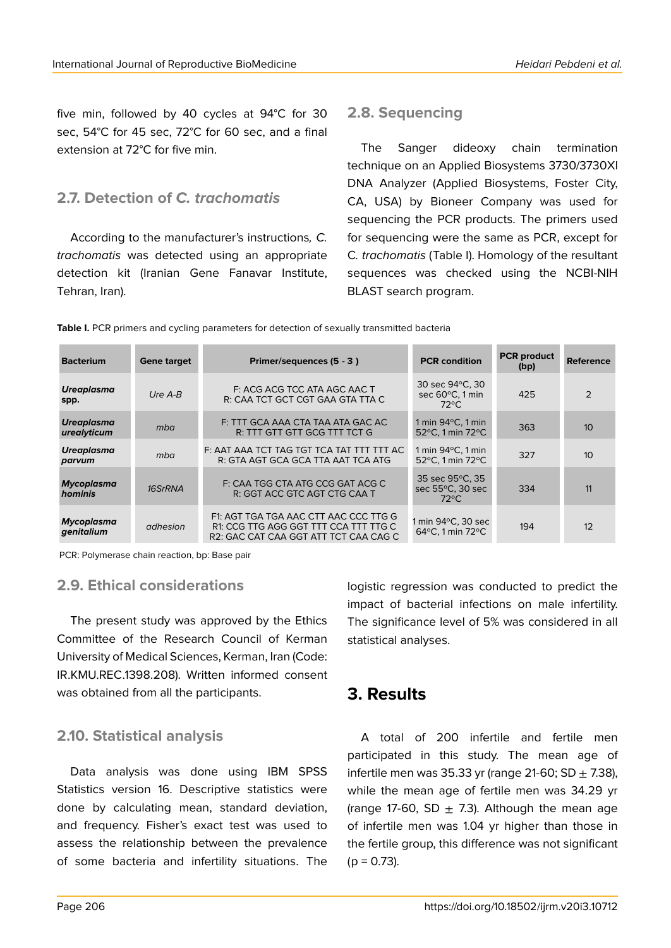five min, followed by 40 cycles at 94°C for 30 sec, 54°C for 45 sec, 72°C for 60 sec, and a final extension at 72°C for five min.

#### **2.7. Detection of** *C. trachomatis*

According to the manufacturer's instructions*, C. trachomatis* was detected using an appropriate detection kit (Iranian Gene Fanavar Institute, Tehran, Iran).

#### **2.8. Sequencing**

The Sanger dideoxy chain termination technique on an Applied Biosystems 3730/3730Xl DNA Analyzer (Applied Biosystems, Foster City, CA, USA) by Bioneer Company was used for sequencing the PCR products. The primers used for sequencing were the same as PCR, except for C*. trachomatis* (Table I). Homology of the resultant sequences was checked using the NCBI-NIH BLAST search program.

| <b>Bacterium</b>                 | <b>Gene target</b> | Primer/sequences (5 - 3)                                                                                                | <b>PCR</b> condition                                  | <b>PCR</b> product<br>(bp) | <b>Reference</b> |
|----------------------------------|--------------------|-------------------------------------------------------------------------------------------------------------------------|-------------------------------------------------------|----------------------------|------------------|
| <b>Ureaplasma</b><br>spp.        | $UreA-B$           | F: ACG ACG TCC ATA AGC AAC T<br>R: CAA TCT GCT CGT GAA GTA TTA C                                                        | 30 sec 94 °C, 30<br>sec 60°C, 1 min<br>$72^{\circ}$ C | 425                        | $\mathcal{P}$    |
| <b>Ureaplasma</b><br>urealyticum | mba                | F: TTT GCA AAA CTA TAA ATA GAC AC<br>R: TTT GTT GTT GCG TTT TCT G                                                       | 1 min $94^{\circ}$ C, 1 min<br>52°C. 1 min 72°C       | 363                        | 10               |
| <b>Ureaplasma</b><br>parvum      | mba                | F: AAT AAA TCT TAG TGT TCA TAT TTT TTT AC<br>R: GTA AGT GCA GCA TTA AAT TCA ATG                                         | 1 min $94^{\circ}$ C, 1 min<br>52°C. 1 min 72°C       | 327                        | 10               |
| <b>Mycoplasma</b><br>hominis     | 16SrRNA            | F: CAA TGG CTA ATG CCG GAT ACG C<br>R: GGT ACC GTC AGT CTG CAA T                                                        | 35 sec 95°C, 35<br>sec 55°C, 30 sec<br>$72^{\circ}$ C | 334                        | 11               |
| <b>Mycoplasma</b><br>genitalium  | adhesion           | F1: AGT TGA TGA AAC CTT AAC CCC TTG G<br>R1: CCG TTG AGG GGT TTT CCA TTT TTG C<br>R2: GAC CAT CAA GGT ATT TCT CAA CAG C | 1 min 94°C, 30 sec<br>64°C, 1 min 72°C                | 194                        | 12               |

**Table I.** PCR primers and cycling parameters for detection of sexually transmitted bacteria

PCR: Polymerase chain reaction, bp: Base pair

#### **2.9. Ethical considerations**

The present study was approved by the Ethics Committee of the Research Council of Kerman University of Medical Sciences, Kerman, Iran (Code: IR.KMU.REC.1398.208). Written informed consent was obtained from all the participants.

#### **2.10. Statistical analysis**

Data analysis was done using IBM SPSS Statistics version 16. Descriptive statistics were done by calculating mean, standard deviation, and frequency. Fisher's exact test was used to assess the relationship between the prevalence of some bacteria and infertility situations. The

logistic regression was conducted to predict the impact of bacterial infections on male infertility. The significance level of 5% was considered in all statistical analyses.

# **3. Results**

A total of 200 infertile and fertile men participated in this study. The mean age of infertile men was 35.33 yr (range 21-60; SD  $\pm$  7.38), while the mean age of fertile men was 34.29 yr (range 17-60, SD  $\pm$  7.3). Although the mean age of infertile men was 1.04 yr higher than those in the fertile group, this difference was not significant  $(p = 0.73)$ .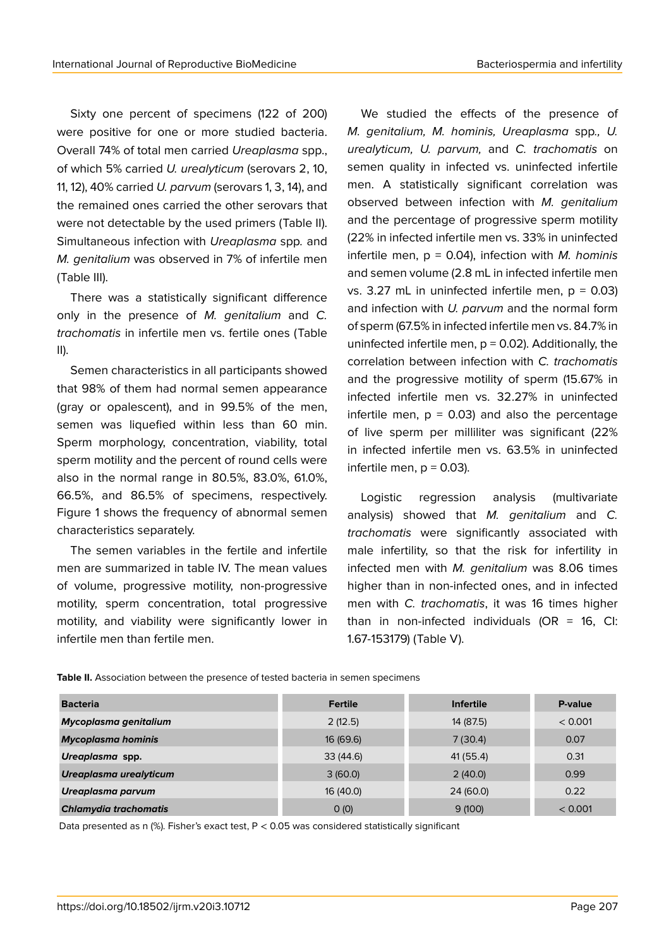Sixty one percent of specimens (122 of 200) were positive for one or more studied bacteria. Overall 74% of total men carried *Ureaplasma* spp., of which 5% carried *U. urealyticum* (serovars 2, 10, 11, 12), 40% carried *U. parvum* (serovars 1, 3, 14), and the remained ones carried the other serovars that were not detectable by the used primers (Table II). Simultaneous infection with *Ureaplasma* spp*.* and *M. genitalium* was observed in 7% of infertile men (Table III).

There was a statistically significant difference only in the presence of *M. genitalium* and *C. trachomatis* in infertile men vs. fertile ones (Table II).

Semen characteristics in all participants showed that 98% of them had normal semen appearance (gray or opalescent), and in 99.5% of the men, semen was liquefied within less than 60 min. Sperm morphology, concentration, viability, total sperm motility and the percent of round cells were also in the normal range in 80.5%, 83.0%, 61.0%, 66.5%, and 86.5% of specimens, respectively. Figure 1 shows the frequency of abnormal semen characteristics separately.

The semen variables in the fertile and infertile men are summarized in table IV. The mean values of volume, progressive motility, non-progressive motility, sperm concentration, total progressive motility, and viability were significantly lower in infertile men than fertile men.

We studied the effects of the presence of *M. genitalium, M. hominis, Ureaplasma* spp*., U. urealyticum, U. parvum,* and *C. trachomatis* on semen quality in infected vs. uninfected infertile men. A statistically significant correlation was observed between infection with *M. genitalium* and the percentage of progressive sperm motility (22% in infected infertile men vs. 33% in uninfected infertile men, p = 0.04), infection with *M. hominis* and semen volume (2.8 mL in infected infertile men vs. 3.27 mL in uninfected infertile men,  $p = 0.03$ ) and infection with *U. parvum* and the normal form of sperm (67.5% in infected infertile men vs. 84.7% in uninfected infertile men,  $p = 0.02$ ). Additionally, the correlation between infection with *C. trachomatis* and the progressive motility of sperm (15.67% in infected infertile men vs. 32.27% in uninfected infertile men,  $p = 0.03$  and also the percentage of live sperm per milliliter was significant (22% in infected infertile men vs. 63.5% in uninfected infertile men,  $p = 0.03$ ).

Logistic regression analysis (multivariate analysis) showed that *M. genitalium* and *C. trachomatis* were significantly associated with male infertility, so that the risk for infertility in infected men with *M. genitalium* was 8.06 times higher than in non-infected ones, and in infected men with *C. trachomatis*, it was 16 times higher than in non-infected individuals (OR =  $16$ , CI: 1.67-153179) (Table V).

**Table II.** Association between the presence of tested bacteria in semen specimens

| <b>Bacteria</b>              | <b>Fertile</b> | <b>Infertile</b> | P-value |
|------------------------------|----------------|------------------|---------|
| Mycoplasma genitalium        | 2(12.5)        | 14 (87.5)        | < 0.001 |
| <b>Mycoplasma hominis</b>    | 16 (69.6)      | 7(30.4)          | 0.07    |
| Ureaplasma spp.              | 33(44.6)       | 41 (55.4)        | 0.31    |
| Ureaplasma urealyticum       | 3(60.0)        | 2(40.0)          | 0.99    |
| Ureaplasma parvum            | 16 (40.0)      | 24 (60.0)        | 0.22    |
| <b>Chlamydia trachomatis</b> | O(0)           | 9(100)           | < 0.001 |

Data presented as n (%). Fisher's exact test, P < 0.05 was considered statistically significant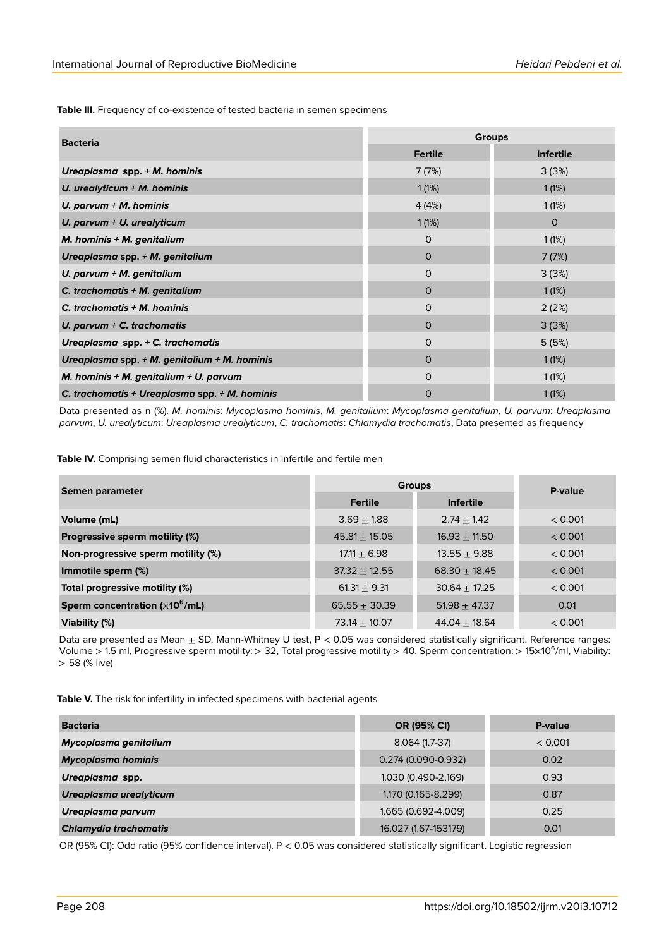**Table III.** Frequency of co-existence of tested bacteria in semen specimens

| <b>Bacteria</b>                                  | <b>Groups</b>  |                  |  |
|--------------------------------------------------|----------------|------------------|--|
|                                                  | <b>Fertile</b> | <b>Infertile</b> |  |
| Ureaplasma spp. + M. hominis                     | 7(7%)          | 3(3%)            |  |
| U. urealyticum $+$ M. hominis                    | 1(1%)          | 1(1%)            |  |
| U. parvum $+$ M. hominis                         | 4(4%)          | 1(1%)            |  |
| U. parvum + U. urealyticum                       | 1(1%)          | $\mathbf 0$      |  |
| M. hominis $+$ M. genitalium                     | 0              | 1(1%)            |  |
| Ureaplasma spp. $+$ M. genitalium                | $\Omega$       | 7(7%)            |  |
| U. parvum + M. genitalium                        | $\Omega$       | 3(3%)            |  |
| C. trachomatis $+$ M. genitalium                 | $\Omega$       | 1(1%)            |  |
| C. trachomatis $+$ M. hominis                    | 0              | 2(2%)            |  |
| U. parvum $+$ C. trachomatis                     | $\Omega$       | 3(3%)            |  |
| Ureaplasma spp. + C. trachomatis                 | 0              | 5(5%)            |  |
| Ureaplasma spp. $+$ M. genitalium $+$ M. hominis | $\Omega$       | 1(1%)            |  |
| M. hominis + M. genitalium + U. parvum           | $\Omega$       | 1(1%)            |  |
| C. trachomatis + Ureaplasma spp. $+$ M. hominis  | 0              | 1(1%)            |  |

Data presented as n (%). *M. hominis*: *Mycoplasma hominis*, *M. genitalium*: *Mycoplasma genitalium*, *U. parvum*: *Ureaplasma parvum*, *U. urealyticum*: *Ureaplasma urealyticum*, *C. trachomatis*: *Chlamydia trachomatis*, Data presented as frequency

**Table IV.** Comprising semen fluid characteristics in infertile and fertile men

| Semen parameter                    | <b>Groups</b>     |                   | P-value |  |
|------------------------------------|-------------------|-------------------|---------|--|
|                                    | <b>Fertile</b>    | <b>Infertile</b>  |         |  |
| Volume (mL)                        | $3.69 \pm 1.88$   | $2.74 + 1.42$     | < 0.001 |  |
| Progressive sperm motility (%)     | $45.81 \pm 15.05$ | $16.93 \pm 11.50$ | < 0.001 |  |
| Non-progressive sperm motility (%) | $17.11 \pm 6.98$  | $13.55 \pm 9.88$  | < 0.001 |  |
| Immotile sperm (%)                 | $37.32 \pm 12.55$ | $68.30 \pm 18.45$ | < 0.001 |  |
| Total progressive motility (%)     | $61.31 + 9.31$    | $30.64 + 17.25$   | < 0.001 |  |
| Sperm concentration $(x10^6/mL)$   | $65.55 \pm 30.39$ | $51.98 \pm 47.37$ | 0.01    |  |
| Viability (%)                      | $73.14 \pm 10.07$ | $44.04 \pm 18.64$ | < 0.001 |  |

Data are presented as Mean ± SD. Mann*-*Whitney U test, P < 0.05 was considered statistically significant. Reference ranges: Volume > 1.5 ml, Progressive sperm motility: > 32, Total progressive motility > 40, Sperm concentration: > 15×10<sup>6</sup> /ml, Viability: > 58 (% live)

Table V. The risk for infertility in infected specimens with bacterial agents

| <b>Bacteria</b>              | OR (95% CI)          | P-value |
|------------------------------|----------------------|---------|
| Mycoplasma genitalium        | $8.064(1.7-37)$      | < 0.001 |
| <b>Mycoplasma hominis</b>    | 0.274 (0.090-0.932)  | 0.02    |
| Ureaplasma spp.              | 1.030 (0.490-2.169)  | 0.93    |
| Ureaplasma urealyticum       | 1.170 (0.165-8.299)  | 0.87    |
| Ureaplasma parvum            | 1.665 (0.692-4.009)  | 0.25    |
| <b>Chlamydia trachomatis</b> | 16.027 (1.67-153179) | 0.01    |

OR (95% CI): Odd ratio (95% confidence interval). P < 0.05 was considered statistically significant. Logistic regression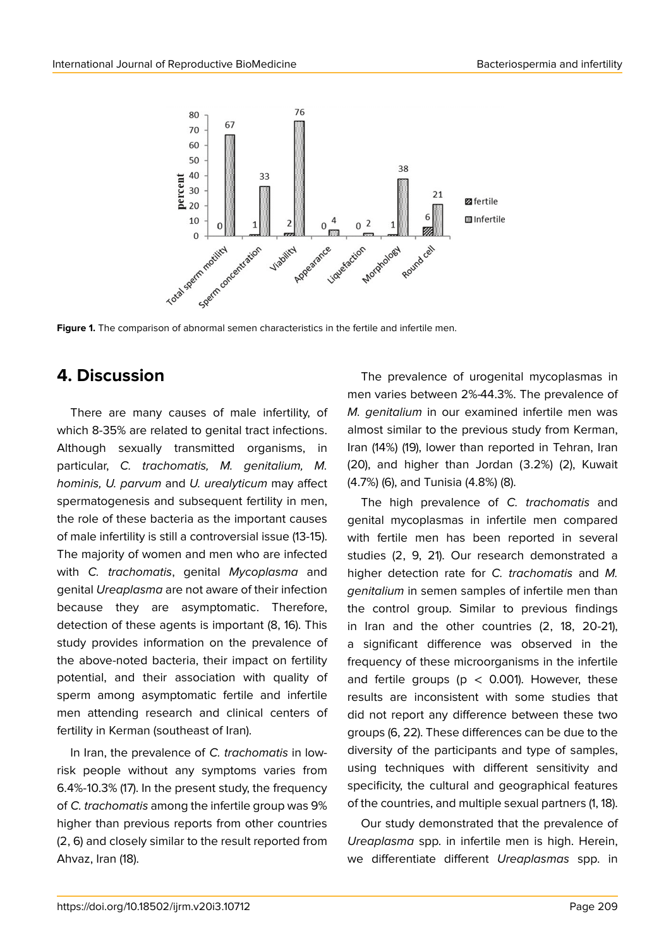

**Figure 1.** The comparison of abnormal semen characteristics in the fertile and infertile men.

# **4. Discussion**

There are many causes of male infertility, of which 8-35% are related to genital tract infections. Although sexually transmitted organisms, in particular, *C. trachomatis, M. genitalium, M. hominis, U. parvum* and *U. urealyticum* may affect spermatogenesis and subsequent fertility in men, the role of these bacteria as the important causes of male infertility is still a controversial issue (13-15). The majority of women and men who are infected with *C. trachomatis*, genital *Mycoplasma* and genital *Ureaplasma* are not aware of their infection because they are asymptomatic. Therefore, detection of these agents is important (8, 16). This study provides information on the prevalence of the above-noted bacteria, their impact on fertility potential, and their association with quality of sperm among asymptomatic fertile and infertile men attending research and clinical centers of fertility in Kerman (southeast of Iran).

In Iran, the prevalence of *C. trachomatis* in lowrisk people without any symptoms varies from 6.4%-10.3% (17). In the present study, the frequency of *C. trachomatis* among the infertile group was 9% higher than previous reports from other countries (2, 6) and closely similar to the result reported from Ahvaz, Iran (18).

The prevalence of urogenital mycoplasmas in men varies between 2%-44.3%. The prevalence of *M. genitalium* in our examined infertile men was almost similar to the previous study from Kerman, Iran (14%) (19), lower than reported in Tehran, Iran (20), and higher than Jordan (3.2%) (2), Kuwait (4.7%) (6), and Tunisia (4.8%) (8).

The high prevalence of *C. trachomatis* and genital mycoplasmas in infertile men compared with fertile men has been reported in several studies (2, 9, 21). Our research demonstrated a higher detection rate for *C. trachomatis* and *M. genitalium* in semen samples of infertile men than the control group. Similar to previous findings in Iran and the other countries (2, 18, 20-21), a significant difference was observed in the frequency of these microorganisms in the infertile and fertile groups ( $p < 0.001$ ). However, these results are inconsistent with some studies that did not report any difference between these two groups (6, 22). These differences can be due to the diversity of the participants and type of samples, using techniques with different sensitivity and specificity, the cultural and geographical features of the countries, and multiple sexual partners (1, 18).

Our study demonstrated that the prevalence of *Ureaplasma* spp. in infertile men is high. Herein, we differentiate different *Ureaplasmas* spp. in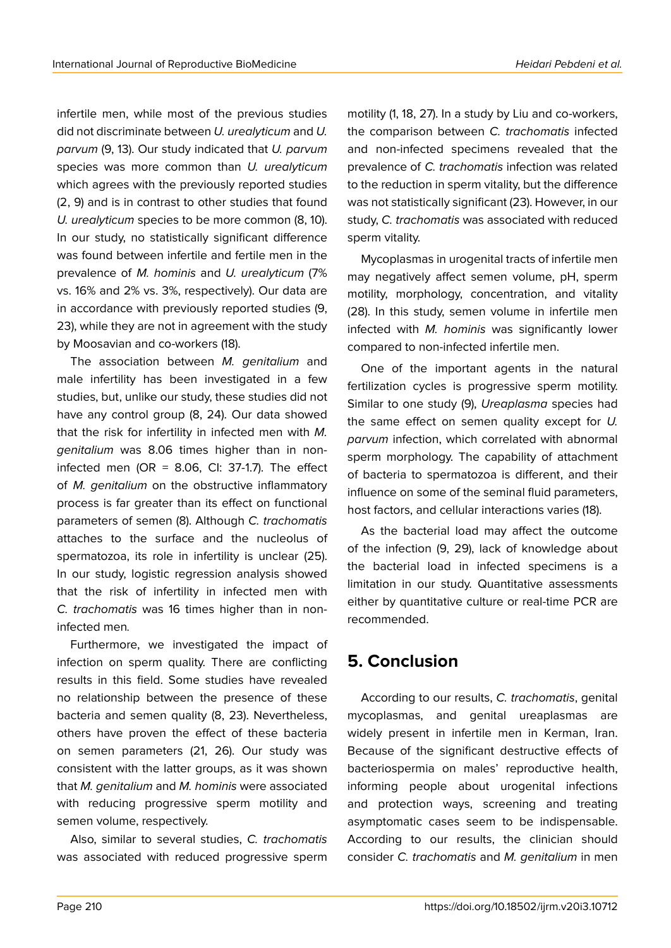infertile men, while most of the previous studies did not discriminate between *U. urealyticum* and *U. parvum* (9, 13). Our study indicated that *U. parvum* species was more common than *U. urealyticum* which agrees with the previously reported studies (2, 9) and is in contrast to other studies that found *U. urealyticum* species to be more common (8, 10). In our study, no statistically significant difference was found between infertile and fertile men in the prevalence of *M. hominis* and *U. urealyticum* (7% vs. 16% and 2% vs. 3%, respectively). Our data are in accordance with previously reported studies (9, 23), while they are not in agreement with the study by Moosavian and co-workers (18).

The association between *M. genitalium* and male infertility has been investigated in a few studies, but, unlike our study, these studies did not have any control group (8, 24). Our data showed that the risk for infertility in infected men with *M. genitalium* was 8.06 times higher than in noninfected men (OR =  $8.06$ , CI: 37-1.7). The effect of *M. genitalium* on the obstructive inflammatory process is far greater than its effect on functional parameters of semen (8). Although *C. trachomatis* attaches to the surface and the nucleolus of spermatozoa, its role in infertility is unclear (25). In our study, logistic regression analysis showed that the risk of infertility in infected men with *C. trachomatis* was 16 times higher than in noninfected men*.*

Furthermore, we investigated the impact of infection on sperm quality. There are conflicting results in this field. Some studies have revealed no relationship between the presence of these bacteria and semen quality (8, 23). Nevertheless, others have proven the effect of these bacteria on semen parameters (21, 26). Our study was consistent with the latter groups, as it was shown that *M. genitalium* and *M. hominis* were associated with reducing progressive sperm motility and semen volume, respectively.

Also, similar to several studies, *C. trachomatis* was associated with reduced progressive sperm motility (1, 18, 27). In a study by Liu and co-workers, the comparison between *C. trachomatis* infected and non-infected specimens revealed that the prevalence of *C. trachomatis* infection was related to the reduction in sperm vitality, but the difference was not statistically significant (23). However, in our study, *C. trachomatis* was associated with reduced sperm vitality.

Mycoplasmas in urogenital tracts of infertile men may negatively affect semen volume, pH, sperm motility, morphology, concentration, and vitality (28). In this study, semen volume in infertile men infected with *M. hominis* was significantly lower compared to non-infected infertile men.

One of the important agents in the natural fertilization cycles is progressive sperm motility. Similar to one study (9), *Ureaplasma* species had the same effect on semen quality except for *U. parvum* infection, which correlated with abnormal sperm morphology. The capability of attachment of bacteria to spermatozoa is different, and their influence on some of the seminal fluid parameters, host factors, and cellular interactions varies (18).

As the bacterial load may affect the outcome of the infection (9, 29), lack of knowledge about the bacterial load in infected specimens is a limitation in our study. Quantitative assessments either by quantitative culture or real-time PCR are recommended.

# **5. Conclusion**

According to our results, *C. trachomatis*, genital mycoplasmas, and genital ureaplasmas are widely present in infertile men in Kerman, Iran. Because of the significant destructive effects of bacteriospermia on males' reproductive health, informing people about urogenital infections and protection ways, screening and treating asymptomatic cases seem to be indispensable. According to our results, the clinician should consider *C. trachomatis* and *M. genitalium* in men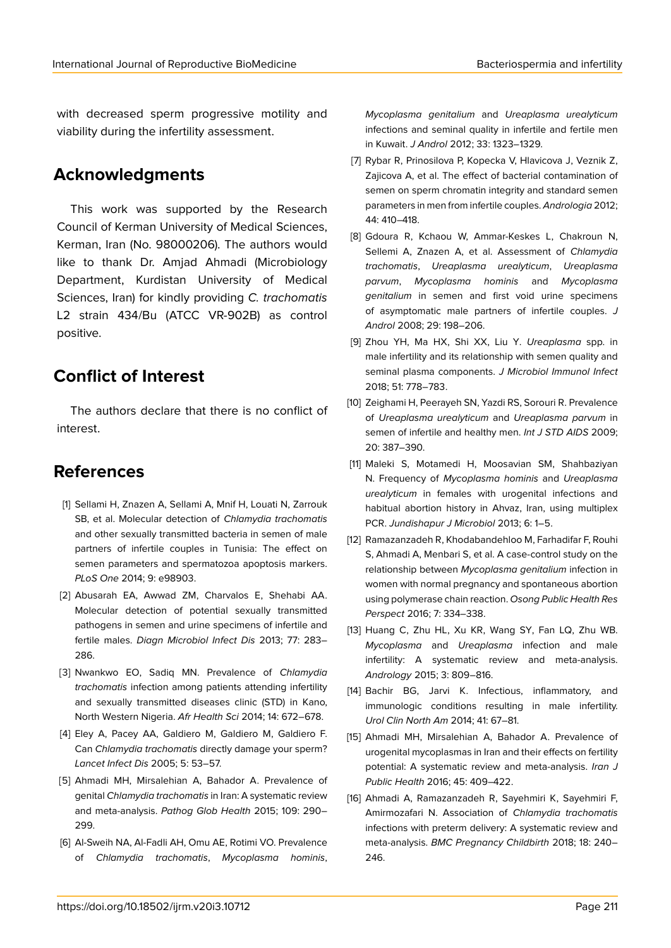with decreased sperm progressive motility and viability during the infertility assessment.

## **Acknowledgments**

This work was supported by the Research Council of Kerman University of Medical Sciences, Kerman, Iran (No. 98000206). The authors would like to thank Dr. Amjad Ahmadi (Microbiology Department, Kurdistan University of Medical Sciences, Iran) for kindly providing *C. trachomatis* L2 strain 434/Bu (ATCC VR-902B) as control positive.

### **Conflict of Interest**

The authors declare that there is no conflict of interest.

# **References**

- [1] Sellami H, Znazen A, Sellami A, Mnif H, Louati N, Zarrouk SB, et al. Molecular detection of *Chlamydia trachomatis* and other sexually transmitted bacteria in semen of male partners of infertile couples in Tunisia: The effect on semen parameters and spermatozoa apoptosis markers. *PLoS One* 2014; 9: e98903.
- [2] Abusarah EA, Awwad ZM, Charvalos E, Shehabi AA. Molecular detection of potential sexually transmitted pathogens in semen and urine specimens of infertile and fertile males. *Diagn Microbiol Infect Dis* 2013; 77: 283– 286.
- [3] Nwankwo EO, Sadiq MN. Prevalence of *Chlamydia trachomatis* infection among patients attending infertility and sexually transmitted diseases clinic (STD) in Kano, North Western Nigeria. *Afr Health Sci* 2014; 14: 672–678.
- [4] Eley A, Pacey AA, Galdiero M, Galdiero M, Galdiero F. Can *Chlamydia trachomatis* directly damage your sperm? *Lancet Infect Dis* 2005; 5: 53–57.
- [5] Ahmadi MH, Mirsalehian A, Bahador A. Prevalence of genital *Chlamydia trachomatis* in Iran: A systematic review and meta-analysis. *Pathog Glob Health* 2015; 109: 290– 299.
- [6] Al-Sweih NA, Al-Fadli AH, Omu AE, Rotimi VO. Prevalence of *Chlamydia trachomatis*, *Mycoplasma hominis*,

*Mycoplasma genitalium* and *Ureaplasma urealyticum* infections and seminal quality in infertile and fertile men in Kuwait. *J Androl* 2012; 33: 1323–1329.

- [7] Rybar R, Prinosilova P, Kopecka V, Hlavicova J, Veznik Z, Zajicova A, et al. The effect of bacterial contamination of semen on sperm chromatin integrity and standard semen parameters in men from infertile couples. *Andrologia* 2012; 44: 410–418.
- [8] Gdoura R, Kchaou W, Ammar-Keskes L, Chakroun N, Sellemi A, Znazen A, et al. Assessment of *Chlamydia trachomatis*, *Ureaplasma urealyticum*, *Ureaplasma parvum*, *Mycoplasma hominis* and *Mycoplasma genitalium* in semen and first void urine specimens of asymptomatic male partners of infertile couples. *J Androl* 2008; 29: 198–206.
- [9] Zhou YH, Ma HX, Shi XX, Liu Y. *Ureaplasma* spp. in male infertility and its relationship with semen quality and seminal plasma components. *J Microbiol Immunol Infect* 2018; 51: 778–783.
- [10] Zeighami H, Peerayeh SN, Yazdi RS, Sorouri R, Prevalence of *Ureaplasma urealyticum* and *Ureaplasma parvum* in semen of infertile and healthy men. *Int J STD AIDS* 2009; 20: 387–390.
- [11] Maleki S, Motamedi H, Moosavian SM, Shahbaziyan N. Frequency of *Mycoplasma hominis* and *Ureaplasma urealyticum* in females with urogenital infections and habitual abortion history in Ahvaz, Iran, using multiplex PCR. *Jundishapur J Microbiol* 2013; 6: 1–5.
- [12] Ramazanzadeh R, Khodabandehloo M, Farhadifar F, Rouhi S, Ahmadi A, Menbari S, et al. A case-control study on the relationship between *Mycoplasma genitalium* infection in women with normal pregnancy and spontaneous abortion using polymerase chain reaction. *Osong Public Health Res Perspect* 2016; 7: 334–338.
- [13] Huang C, Zhu HL, Xu KR, Wang SY, Fan LQ, Zhu WB. *Mycoplasma* and *Ureaplasma* infection and male infertility: A systematic review and meta-analysis. *Andrology* 2015; 3: 809–816.
- [14] Bachir BG, Jarvi K. Infectious, inflammatory, and immunologic conditions resulting in male infertility. *Urol Clin North Am* 2014; 41: 67–81.
- [15] Ahmadi MH, Mirsalehian A, Bahador A. Prevalence of urogenital mycoplasmas in Iran and their effects on fertility potential: A systematic review and meta-analysis. *Iran J Public Health* 2016; 45: 409–422.
- [16] Ahmadi A, Ramazanzadeh R, Sayehmiri K, Sayehmiri F, Amirmozafari N. Association of *Chlamydia trachomatis* infections with preterm delivery: A systematic review and meta-analysis. *BMC Pregnancy Childbirth* 2018; 18: 240– 246.